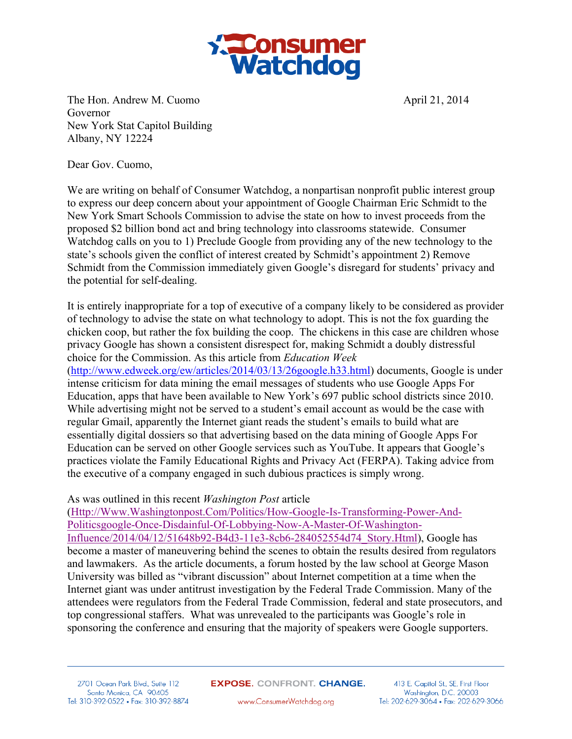

The Hon. Andrew M. Cuomo **April 21, 2014** April 21, 2014 Governor New York Stat Capitol Building Albany, NY 12224

Dear Gov. Cuomo,

We are writing on behalf of Consumer Watchdog, a nonpartisan nonprofit public interest group to express our deep concern about your appointment of Google Chairman Eric Schmidt to the New York Smart Schools Commission to advise the state on how to invest proceeds from the proposed \$2 billion bond act and bring technology into classrooms statewide. Consumer Watchdog calls on you to 1) Preclude Google from providing any of the new technology to the state's schools given the conflict of interest created by Schmidt's appointment 2) Remove Schmidt from the Commission immediately given Google's disregard for students' privacy and the potential for self-dealing.

It is entirely inappropriate for a top of executive of a company likely to be considered as provider of technology to advise the state on what technology to adopt. This is not the fox guarding the chicken coop, but rather the fox building the coop. The chickens in this case are children whose privacy Google has shown a consistent disrespect for, making Schmidt a doubly distressful choice for the Commission. As this article from *Education Week* (http://www.edweek.org/ew/articles/2014/03/13/26google.h33.html) documents, Google is under intense criticism for data mining the email messages of students who use Google Apps For Education, apps that have been available to New York's 697 public school districts since 2010. While advertising might not be served to a student's email account as would be the case with regular Gmail, apparently the Internet giant reads the student's emails to build what are essentially digital dossiers so that advertising based on the data mining of Google Apps For Education can be served on other Google services such as YouTube. It appears that Google's practices violate the Family Educational Rights and Privacy Act (FERPA). Taking advice from the executive of a company engaged in such dubious practices is simply wrong.

## As was outlined in this recent *Washington Post* article

(Http://Www.Washingtonpost.Com/Politics/How-Google-Is-Transforming-Power-And-Politicsgoogle-Once-Disdainful-Of-Lobbying-Now-A-Master-Of-Washington-Influence/2014/04/12/51648b92-B4d3-11e3-8cb6-284052554d74\_Story.Html), Google has become a master of maneuvering behind the scenes to obtain the results desired from regulators and lawmakers. As the article documents, a forum hosted by the law school at George Mason University was billed as "vibrant discussion" about Internet competition at a time when the Internet giant was under antitrust investigation by the Federal Trade Commission. Many of the attendees were regulators from the Federal Trade Commission, federal and state prosecutors, and top congressional staffers. What was unrevealed to the participants was Google's role in sponsoring the conference and ensuring that the majority of speakers were Google supporters.

2701 Ocean Park Blvd., Suite 112 Santa Monica, CA 90405 Tel: 310-392-0522 • Fax: 310-392-8874 **EXPOSE.** CONFRONT. CHANGE.

413 E. Capitol St., SE, First Floor Washington, D.C. 20003 Tel: 202-629-3064 • Fax: 202-629-3066

www.ConsumerWatchdog.org